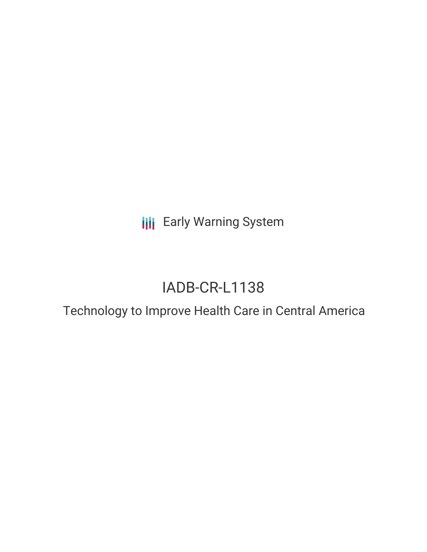**III** Early Warning System

# IADB-CR-L1138

## Technology to Improve Health Care in Central America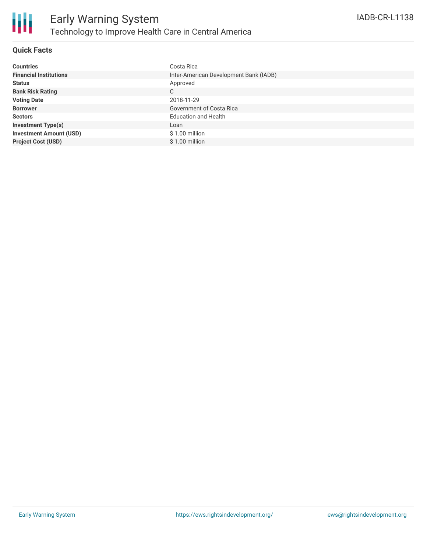

#### **Quick Facts**

| <b>Countries</b>               | Costa Rica                             |
|--------------------------------|----------------------------------------|
| <b>Financial Institutions</b>  | Inter-American Development Bank (IADB) |
| <b>Status</b>                  | Approved                               |
| <b>Bank Risk Rating</b>        | C                                      |
| <b>Voting Date</b>             | 2018-11-29                             |
| <b>Borrower</b>                | <b>Government of Costa Rica</b>        |
| <b>Sectors</b>                 | <b>Education and Health</b>            |
| <b>Investment Type(s)</b>      | Loan                                   |
| <b>Investment Amount (USD)</b> | \$1.00 million                         |
| <b>Project Cost (USD)</b>      | \$1.00 million                         |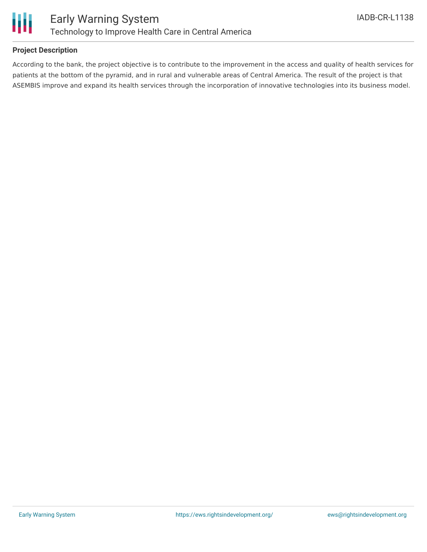

#### **Project Description**

According to the bank, the project objective is to contribute to the improvement in the access and quality of health services for patients at the bottom of the pyramid, and in rural and vulnerable areas of Central America. The result of the project is that ASEMBIS improve and expand its health services through the incorporation of innovative technologies into its business model.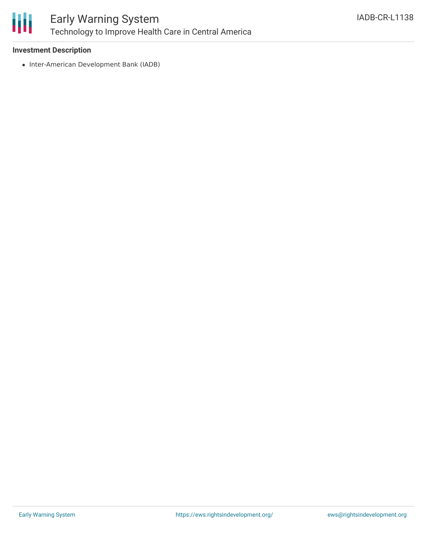

### Early Warning System Technology to Improve Health Care in Central America

#### **Investment Description**

• Inter-American Development Bank (IADB)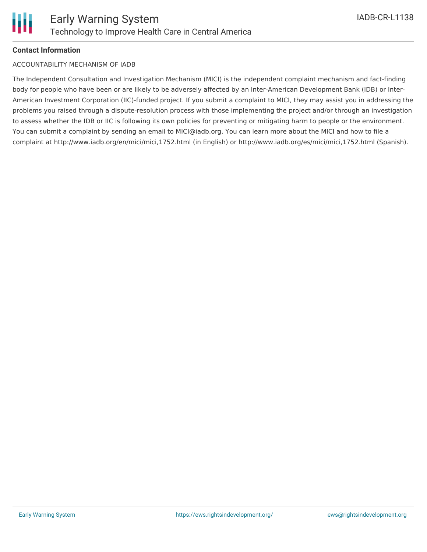

#### **Contact Information**

#### ACCOUNTABILITY MECHANISM OF IADB

The Independent Consultation and Investigation Mechanism (MICI) is the independent complaint mechanism and fact-finding body for people who have been or are likely to be adversely affected by an Inter-American Development Bank (IDB) or Inter-American Investment Corporation (IIC)-funded project. If you submit a complaint to MICI, they may assist you in addressing the problems you raised through a dispute-resolution process with those implementing the project and/or through an investigation to assess whether the IDB or IIC is following its own policies for preventing or mitigating harm to people or the environment. You can submit a complaint by sending an email to MICI@iadb.org. You can learn more about the MICI and how to file a complaint at http://www.iadb.org/en/mici/mici,1752.html (in English) or http://www.iadb.org/es/mici/mici,1752.html (Spanish).